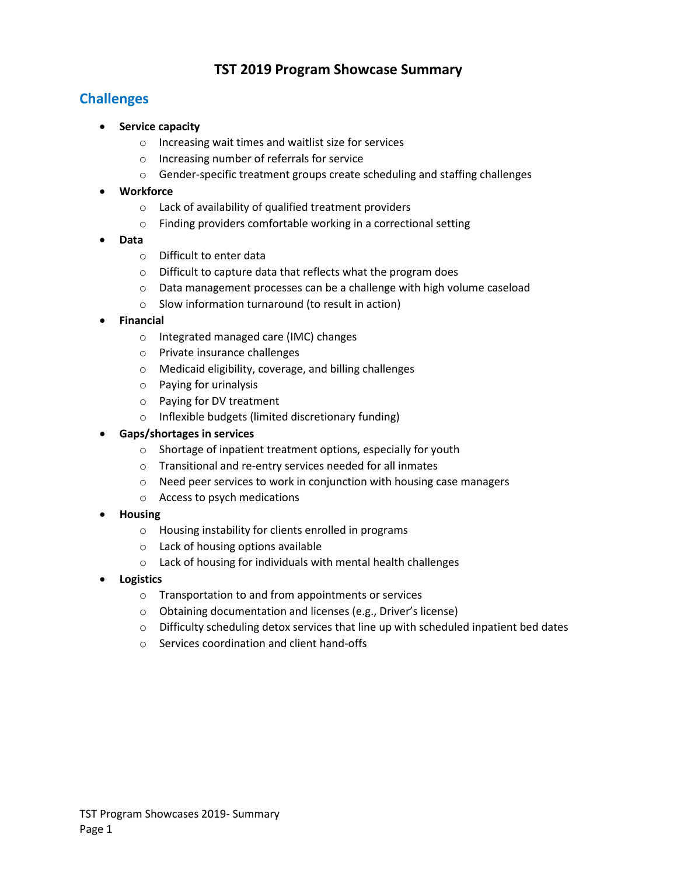# **TST 2019 Program Showcase Summary**

# **Challenges**

- **Service capacity** 
	- o Increasing wait times and waitlist size for services
	- o Increasing number of referrals for service
	- o Gender-specific treatment groups create scheduling and staffing challenges

### • **Workforce**

- o Lack of availability of qualified treatment providers
- o Finding providers comfortable working in a correctional setting
- **Data**
	- o Difficult to enter data
	- o Difficult to capture data that reflects what the program does
	- $\circ$  Data management processes can be a challenge with high volume caseload
	- o Slow information turnaround (to result in action)

### • **Financial**

- o Integrated managed care (IMC) changes
- o Private insurance challenges
- o Medicaid eligibility, coverage, and billing challenges
- o Paying for urinalysis
- o Paying for DV treatment
- o Inflexible budgets (limited discretionary funding)

### • **Gaps/shortages in services**

- o Shortage of inpatient treatment options, especially for youth
- o Transitional and re-entry services needed for all inmates
- o Need peer services to work in conjunction with housing case managers
- o Access to psych medications
- **Housing**
	- o Housing instability for clients enrolled in programs
	- o Lack of housing options available
	- o Lack of housing for individuals with mental health challenges
- **Logistics**
	- o Transportation to and from appointments or services
	- o Obtaining documentation and licenses (e.g., Driver's license)
	- $\circ$  Difficulty scheduling detox services that line up with scheduled inpatient bed dates
	- o Services coordination and client hand-offs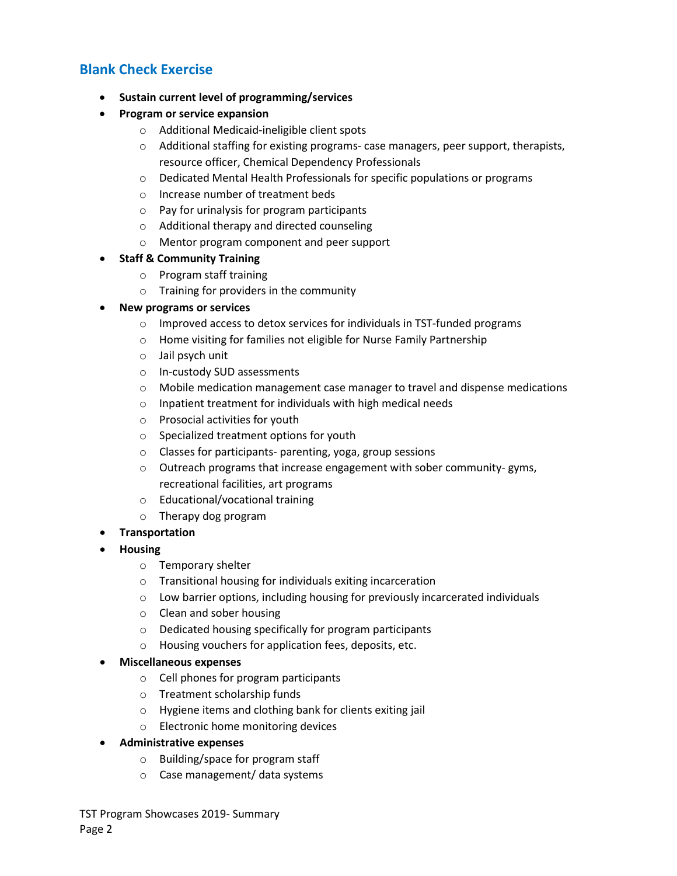## **Blank Check Exercise**

- **Sustain current level of programming/services**
- **Program or service expansion** 
	- o Additional Medicaid-ineligible client spots
	- o Additional staffing for existing programs- case managers, peer support, therapists, resource officer, Chemical Dependency Professionals
	- $\circ$  Dedicated Mental Health Professionals for specific populations or programs
	- o Increase number of treatment beds
	- o Pay for urinalysis for program participants
	- o Additional therapy and directed counseling
	- o Mentor program component and peer support

#### • **Staff & Community Training**

- o Program staff training
- o Training for providers in the community

#### • **New programs or services**

- o Improved access to detox services for individuals in TST-funded programs
- o Home visiting for families not eligible for Nurse Family Partnership
- o Jail psych unit
- o In-custody SUD assessments
- $\circ$  Mobile medication management case manager to travel and dispense medications
- o Inpatient treatment for individuals with high medical needs
- o Prosocial activities for youth
- o Specialized treatment options for youth
- o Classes for participants- parenting, yoga, group sessions
- o Outreach programs that increase engagement with sober community- gyms, recreational facilities, art programs
- o Educational/vocational training
- o Therapy dog program
- **Transportation**
- **Housing**
	- o Temporary shelter
	- o Transitional housing for individuals exiting incarceration
	- $\circ$  Low barrier options, including housing for previously incarcerated individuals
	- o Clean and sober housing
	- o Dedicated housing specifically for program participants
	- o Housing vouchers for application fees, deposits, etc.

#### • **Miscellaneous expenses**

- o Cell phones for program participants
- o Treatment scholarship funds
- o Hygiene items and clothing bank for clients exiting jail
- o Electronic home monitoring devices
- **Administrative expenses**
	- o Building/space for program staff
	- o Case management/ data systems